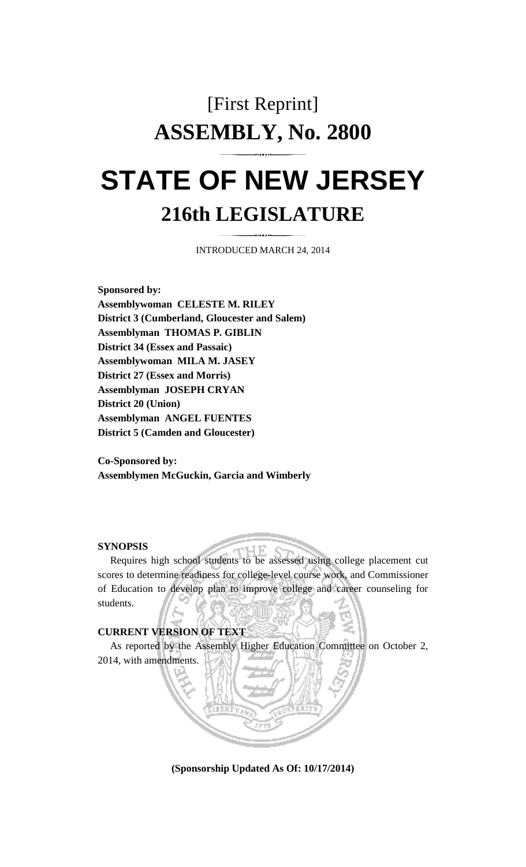## [First Reprint] **ASSEMBLY, No. 2800**

## **STATE OF NEW JERSEY 216th LEGISLATURE**

INTRODUCED MARCH 24, 2014

**Sponsored by: Assemblywoman CELESTE M. RILEY District 3 (Cumberland, Gloucester and Salem) Assemblyman THOMAS P. GIBLIN District 34 (Essex and Passaic) Assemblywoman MILA M. JASEY District 27 (Essex and Morris) Assemblyman JOSEPH CRYAN District 20 (Union) Assemblyman ANGEL FUENTES District 5 (Camden and Gloucester)** 

**Co-Sponsored by: Assemblymen McGuckin, Garcia and Wimberly** 

## **SYNOPSIS**

 Requires high school students to be assessed using college placement cut scores to determine readiness for college-level course work, and Commissioner of Education to develop plan to improve college and career counseling for students.

## **CURRENT VERSION OF TEXT**

 As reported by the Assembly Higher Education Committee on October 2, 2014, with amendments.

**(Sponsorship Updated As Of: 10/17/2014)**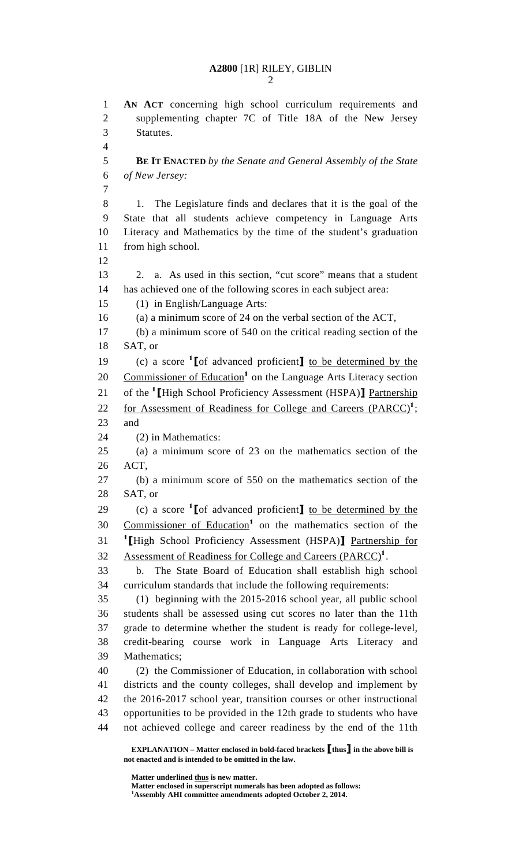1 **AN ACT** concerning high school curriculum requirements and 2 supplementing chapter 7C of Title 18A of the New Jersey 3 Statutes. 4 5 **BE IT ENACTED** *by the Senate and General Assembly of the State*  6 *of New Jersey:* 7 8 1. The Legislature finds and declares that it is the goal of the 9 State that all students achieve competency in Language Arts 10 Literacy and Mathematics by the time of the student's graduation 11 from high school. 12 13 2. a. As used in this section, "cut score" means that a student 14 has achieved one of the following scores in each subject area: 15 (1) in English/Language Arts: 16 (a) a minimum score of 24 on the verbal section of the ACT, 17 (b) a minimum score of 540 on the critical reading section of the 18 SAT, or (c) a score  $\text{I}$  [of advanced proficient] to be determined by the 20 Commissioner of Education<sup>1</sup> on the Language Arts Literacy section 21 of the <sup>1</sup> [High School Proficiency Assessment (HSPA)] Partnership 22 for Assessment of Readiness for College and Careers  $(PARCC)^1$ ; 23 and 24 (2) in Mathematics: 25 (a) a minimum score of 23 on the mathematics section of the 26 ACT, 27 (b) a minimum score of 550 on the mathematics section of the 28 SAT, or 29 (c) a score  ${}^{1}$  [of advanced proficient] to be determined by the 30 Commissioner of Education<sup>1</sup> on the mathematics section of the 31 <sup>1</sup> [High School Proficiency Assessment (HSPA)] Partnership for Assessment of Readiness for College and Careers (PARCC)<sup>1</sup>. 33 b. The State Board of Education shall establish high school 34 curriculum standards that include the following requirements: 35 (1) beginning with the 2015-2016 school year, all public school 36 students shall be assessed using cut scores no later than the 11th 37 grade to determine whether the student is ready for college-level, 38 credit-bearing course work in Language Arts Literacy and 39 Mathematics; 40 (2) the Commissioner of Education, in collaboration with school 41 districts and the county colleges, shall develop and implement by 42 the 2016-2017 school year, transition courses or other instructional 43 opportunities to be provided in the 12th grade to students who have 44 not achieved college and career readiness by the end of the 11th

 **Matter underlined thus is new matter.** 

 **Matter enclosed in superscript numerals has been adopted as follows: 1 Assembly AHI committee amendments adopted October 2, 2014.** 

**EXPLANATION – Matter enclosed in bold-faced brackets** [**thus**] **in the above bill is not enacted and is intended to be omitted in the law.**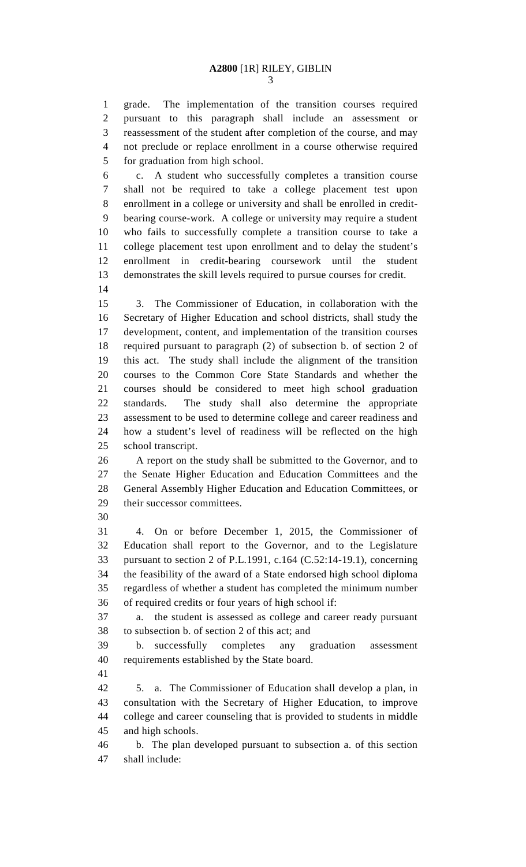3

1 grade. The implementation of the transition courses required 2 pursuant to this paragraph shall include an assessment or 3 reassessment of the student after completion of the course, and may 4 not preclude or replace enrollment in a course otherwise required 5 for graduation from high school.

6 c. A student who successfully completes a transition course 7 shall not be required to take a college placement test upon 8 enrollment in a college or university and shall be enrolled in credit-9 bearing course-work. A college or university may require a student 10 who fails to successfully complete a transition course to take a 11 college placement test upon enrollment and to delay the student's 12 enrollment in credit-bearing coursework until the student 13 demonstrates the skill levels required to pursue courses for credit.

14

15 3. The Commissioner of Education, in collaboration with the 16 Secretary of Higher Education and school districts, shall study the 17 development, content, and implementation of the transition courses 18 required pursuant to paragraph (2) of subsection b. of section 2 of 19 this act. The study shall include the alignment of the transition 20 courses to the Common Core State Standards and whether the 21 courses should be considered to meet high school graduation 22 standards. The study shall also determine the appropriate 23 assessment to be used to determine college and career readiness and 24 how a student's level of readiness will be reflected on the high 25 school transcript.

26 A report on the study shall be submitted to the Governor, and to 27 the Senate Higher Education and Education Committees and the 28 General Assembly Higher Education and Education Committees, or 29 their successor committees.

30

31 4. On or before December 1, 2015, the Commissioner of 32 Education shall report to the Governor, and to the Legislature 33 pursuant to section 2 of P.L.1991, c.164 (C.52:14-19.1), concerning 34 the feasibility of the award of a State endorsed high school diploma 35 regardless of whether a student has completed the minimum number 36 of required credits or four years of high school if:

37 a. the student is assessed as college and career ready pursuant 38 to subsection b. of section 2 of this act; and

39 b. successfully completes any graduation assessment 40 requirements established by the State board.

41

42 5. a. The Commissioner of Education shall develop a plan, in 43 consultation with the Secretary of Higher Education, to improve 44 college and career counseling that is provided to students in middle 45 and high schools.

46 b. The plan developed pursuant to subsection a. of this section 47 shall include: